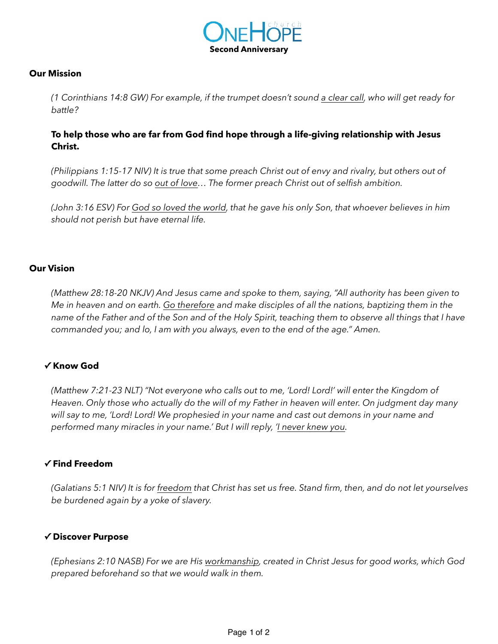

#### **Our Mission**

*(1 Corinthians 14:8 GW) For example, if the trumpet doesn't sound a clear call, who will get ready for battle?*

# **To help those who are far from God find hope through a life-giving relationship with Jesus Christ.**

*(Philippians 1:15-17 NIV) It is true that some preach Christ out of envy and rivalry, but others out of goodwill. The latter do so out of love… The former preach Christ out of selfish ambition.* 

*(John 3:16 ESV) For God so loved the world, that he gave his only Son, that whoever believes in him should not perish but have eternal life.* 

### **Our Vision**

*(Matthew 28:18-20 NKJV) And Jesus came and spoke to them, saying, "All authority has been given to Me in heaven and on earth. Go therefore and make disciples of all the nations, baptizing them in the name of the Father and of the Son and of the Holy Spirit, teaching them to observe all things that I have commanded you; and lo, I am with you always, even to the end of the age." Amen.*

#### **✓ Know God**

*(Matthew 7:21-23 NLT) "Not everyone who calls out to me, 'Lord! Lord!' will enter the Kingdom of Heaven. Only those who actually do the will of my Father in heaven will enter. On judgment day many will say to me, 'Lord! Lord! We prophesied in your name and cast out demons in your name and performed many miracles in your name.' But I will reply, 'I never knew you.*

#### **✓ Find Freedom**

*(Galatians 5:1 NIV) It is for freedom that Christ has set us free. Stand firm, then, and do not let yourselves be burdened again by a yoke of slavery.*

#### **✓ Discover Purpose**

*(Ephesians 2:10 NASB) For we are His workmanship, created in Christ Jesus for good works, which God prepared beforehand so that we would walk in them.*